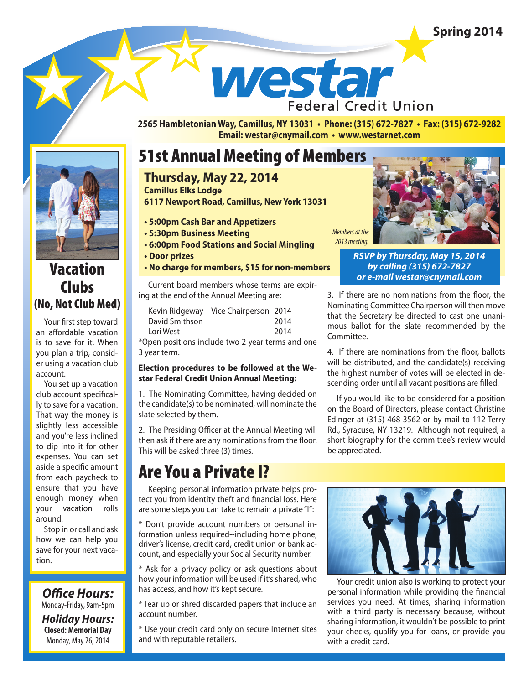### **Spring 2014**

westar **Federal Credit Union** 

**2565 Hambletonian Way, Camillus, NY 13031 • Phone: (315) 672-7827 • Fax: (315) 672-9282 Email: westar@cnymail.com • www.westarnet.com**

### 51st Annual Meeting of Members

### **Thursday, May 22, 2014**

**Camillus Elks Lodge 6117 Newport Road, Camillus, New York 13031**

- **5:00pm Cash Bar and Appetizers**
- **5:30pm Business Meeting**
- **6:00pm Food Stations and Social Mingling**
- **Door prizes**

#### **• No charge for members, \$15 for non-members**

*or e-mail westar@cnymail.com* Current board members whose terms are expiring at the end of the Annual Meeting are:

| Kevin Ridgeway Vice Chairperson 2014 |  |  |      |      |
|--------------------------------------|--|--|------|------|
| David Smithson                       |  |  | 2014 |      |
| Lori West                            |  |  |      | 2014 |
|                                      |  |  |      |      |

\*Open positions include two 2 year terms and one 3 year term.

#### **Election procedures to be followed at the Westar Federal Credit Union Annual Meeting:**

1. The Nominating Committee, having decided on the candidate(s) to be nominated, will nominate the slate selected by them.

2. The Presiding Officer at the Annual Meeting will then ask if there are any nominations from the floor. This will be asked three (3) times.

## Are You a Private I?

Keeping personal information private helps protect you from identity theft and financial loss. Here are some steps you can take to remain a private "I":

\* Don't provide account numbers or personal information unless required--including home phone, driver's license, credit card, credit union or bank account, and especially your Social Security number.

\* Ask for a privacy policy or ask questions about how your information will be used if it's shared, who has access, and how it's kept secure.

\* Tear up or shred discarded papers that include an account number.

\* Use your credit card only on secure Internet sites and with reputable retailers.



*RSVP by Thursday, May 15, 2014 by calling (315) 672-7827* 

3. If there are no nominations from the floor, the Nominating Committee Chairperson will then move that the Secretary be directed to cast one unanimous ballot for the slate recommended by the Committee.

4. If there are nominations from the floor, ballots will be distributed, and the candidate(s) receiving the highest number of votes will be elected in descending order until all vacant positions are filled.

If you would like to be considered for a position on the Board of Directors, please contact Christine Edinger at (315) 468-3562 or by mail to 112 Terry Rd., Syracuse, NY 13219. Although not required, a short biography for the committee's review would be appreciated.



Your credit union also is working to protect your personal information while providing the financial services you need. At times, sharing information with a third party is necessary because, without sharing information, it wouldn't be possible to print your checks, qualify you for loans, or provide you with a credit card.



### Vacation Clubs (No, Not Club Med)

Your first step toward an affordable vacation is to save for it. When you plan a trip, consider using a vacation club account.

You set up a vacation club account specifically to save for a vacation. That way the money is slightly less accessible and you're less inclined to dip into it for other expenses. You can set aside a specific amount from each paycheck to ensure that you have enough money when your vacation rolls around.

Stop in or call and ask how we can help you save for your next vacation.

**Office Hours:** Monday-Friday, 9am-5pm *Holiday Hours:* **Closed: Memorial Day** Monday, May 26, 2014